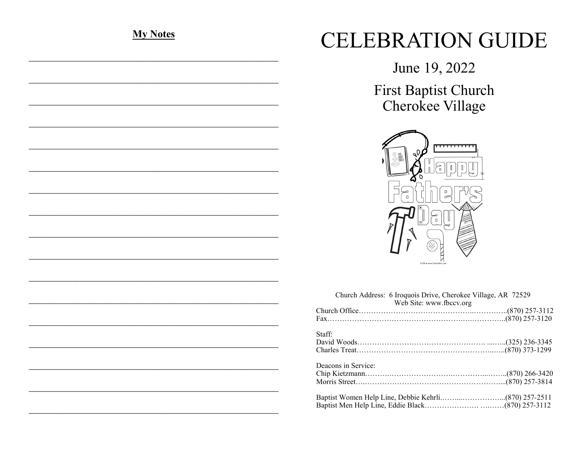# **My Notes**

# **CELEBRATION GUIDE**

June 19, 2022

First Baptist Church Cherokee Village



|                     | Church Address: 6 Iroquois Drive, Cherokee Village, AR 72529<br>Web Site: www.fbccv.org |  |
|---------------------|-----------------------------------------------------------------------------------------|--|
|                     |                                                                                         |  |
|                     |                                                                                         |  |
| Staff:              |                                                                                         |  |
|                     |                                                                                         |  |
|                     |                                                                                         |  |
| Deacons in Service: |                                                                                         |  |
|                     |                                                                                         |  |
|                     |                                                                                         |  |
|                     |                                                                                         |  |